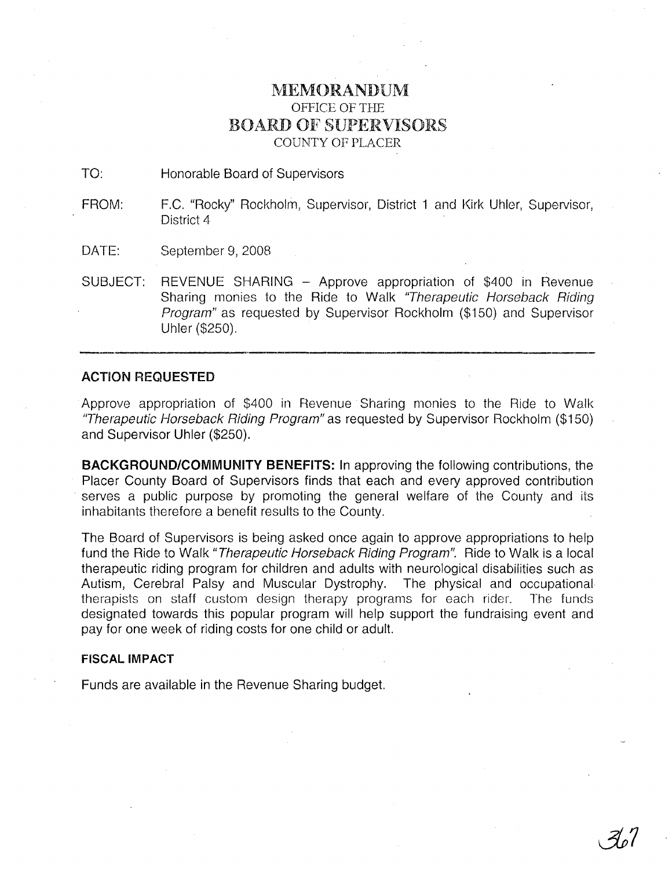## IVIEMORANDUM OFFICE OF THE BOARD OF SUPERVISORS COUNTY OF PLACER

TO: Honorable Board of Supervisors

FROM: F.C. "Rocky" Rockholm, Supervisor, District 1 and Kirk Uhler, Supervisor, District 4

DATE: September 9, 2008

SUBJECT: REVENUE SHARING - Approve appropriation of \$400 in Revenue Sharing monies to the Ride to Walk "Therapeutic Horseback Riding Program" as requested by Supervisor Rockholm (\$150) and Supervisor Uhler (\$250).

## ACTION REQUESTED

Approve appropriation of \$400 in Revenue Sharing monies to the Ride to Walk 'Therapeutic Horseback Riding Program" as requested by Supervisor Rockholm (\$150) and Supervisor Uhler (\$250).

**BACKGROUND/COMMUNITY BENEFITS:** In approving the following contributions, the Placer County Board of Supervisors finds that each and every approved contribution serves a public purpose by promoting the general welfare of the County and its inhabitants therefore a benefit results to the County.

The Board of Supervisors is being asked once again to approve appropriations to help fund the Ride to Walk "Therapeutic Horseback Riding Program". Ride to Walk is a local therapeutic riding program for children and adults with neurological disabilities such as Autism, Cerebral Palsy and Muscular Dystrophy. The physical and occupational therapists on staff custom design therapy programs for each rider. The funds designated towards this popular program will help support the fundraising event and pay for one week of riding costs for one child or adult.

## **FISCAL IMPACT**

Funds are available in the Revenue Sharing budget.